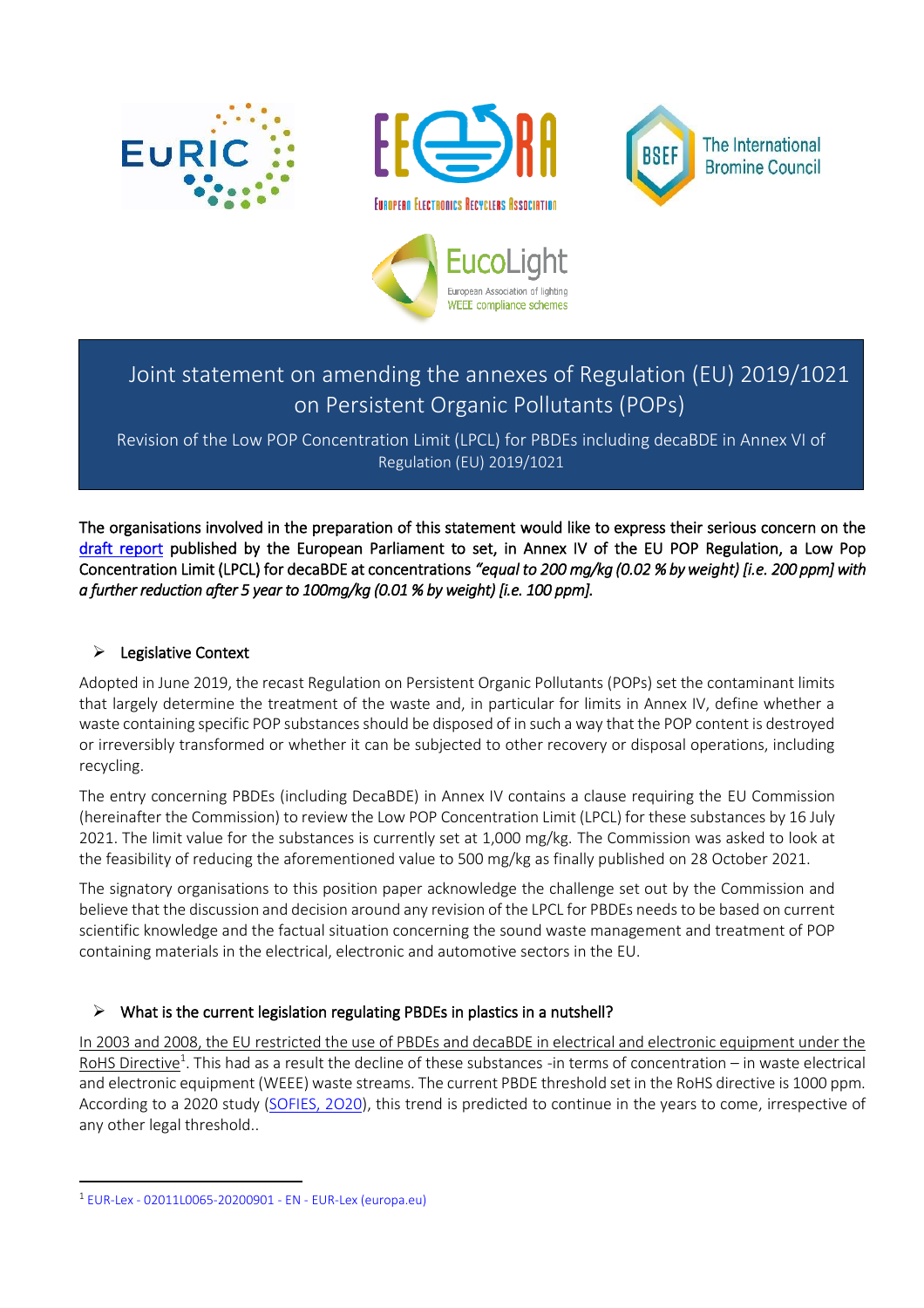







# Joint statement on amending the annexes of Regulation (EU) 2019/1021 on Persistent Organic Pollutants (POPs)

Revision of the Low POP Concentration Limit (LPCL) for PBDEs including decaBDE in Annex VI of Regulation (EU) 2019/1021

The organisations involved in the preparation of this statement would like to express their serious concern on the [draft report](https://fhenvichem.cmail19.com/t/d-l-auypg-tyiikhttll-c/) published by the European Parliament to set, in Annex IV of the EU POP Regulation, a Low Pop Concentration Limit (LPCL) for decaBDE at concentrations *"equal to 200 mg/kg (0.02 % by weight) [i.e. 200 ppm] with a further reduction after 5 year to 100mg/kg (0.01 % by weight) [i.e. 100 ppm].* 

## ➢ Legislative Context

Adopted in June 2019, the recast Regulation on Persistent Organic Pollutants (POPs) set the contaminant limits that largely determine the treatment of the waste and, in particular for limits in Annex IV, define whether a waste containing specific POP substances should be disposed of in such a way that the POP content is destroyed or irreversibly transformed or whether it can be subjected to other recovery or disposal operations, including recycling.

The entry concerning PBDEs (including DecaBDE) in Annex IV contains a clause requiring the EU Commission (hereinafter the Commission) to review the Low POP Concentration Limit (LPCL) for these substances by 16 July 2021. The limit value for the substances is currently set at 1,000 mg/kg. The Commission was asked to look at the feasibility of reducing the aforementioned value to 500 mg/kg as finally published on 28 October 2021.

The signatory organisations to this position paper acknowledge the challenge set out by the Commission and believe that the discussion and decision around any revision of the LPCL for PBDEs needs to be based on current scientific knowledge and the factual situation concerning the sound waste management and treatment of POP containing materials in the electrical, electronic and automotive sectors in the EU.

## ➢ What is the current legislation regulating PBDEs in plastics in a nutshell?

In 2003 and 2008, the EU restricted the use of PBDEs and decaBDE in electrical and electronic equipment under the RoHS Directive<sup>1</sup>. This had as a result the decline of these substances -in terms of concentration – in waste electrical and electronic equipment (WEEE) waste streams. The current PBDE threshold set in the RoHS directive is 1000 ppm. According to a 2020 study (SOFIES, 2020), this trend is predicted to continue in the years to come, irrespective of any other legal threshold..

<sup>1</sup> EUR-Lex - [02011L0065-20200901 -](https://eur-lex.europa.eu/legal-content/EN/TXT/?uri=CELEX%3A02011L0065-20200901) EN - EUR-Lex (europa.eu)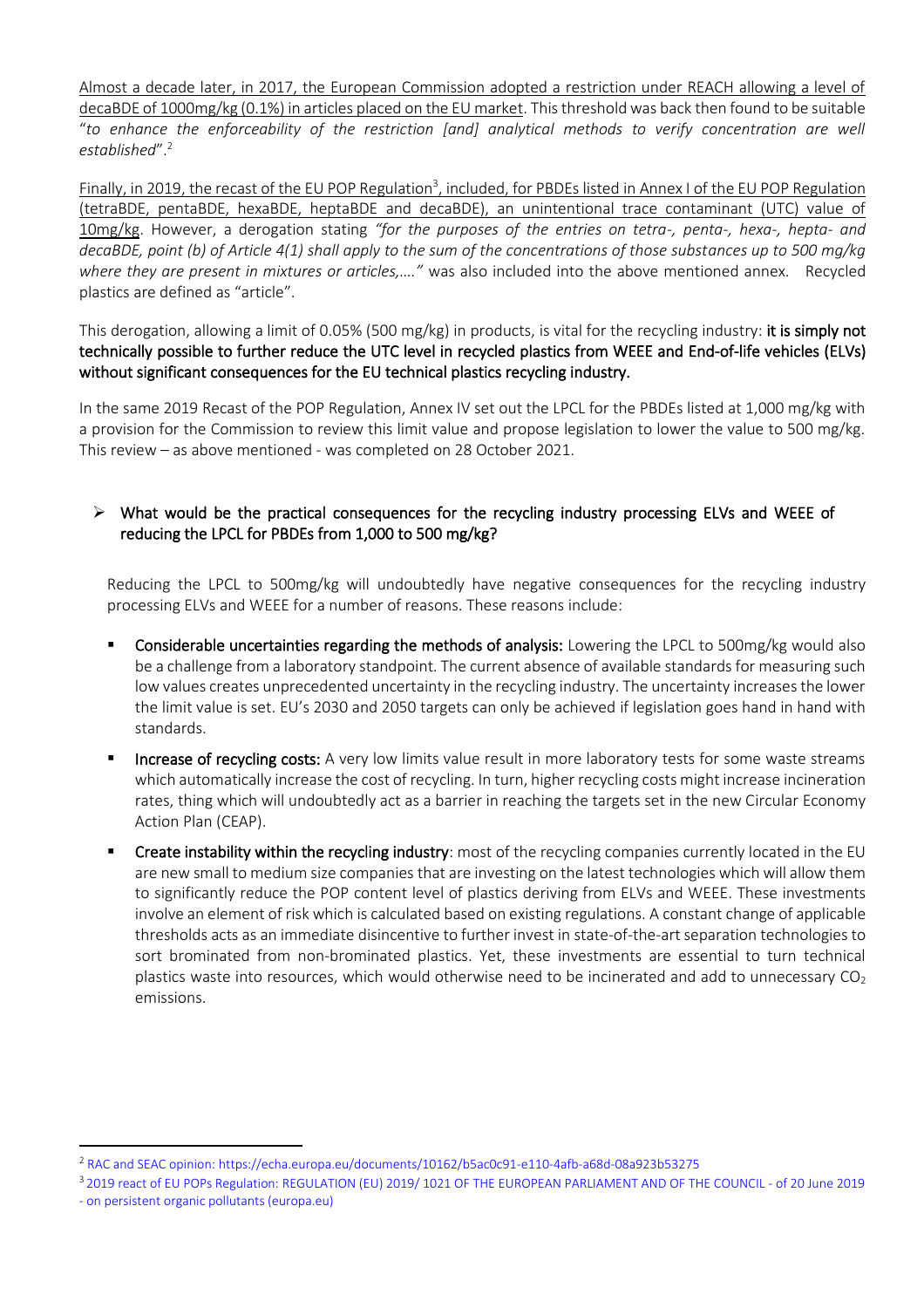Almost a decade later, in 2017, the European Commission adopted a restriction under REACH allowing a level of decaBDE of 1000mg/kg (0.1%) in articles placed on the EU market. This threshold was back then found to be suitable "*to enhance the enforceability of the restriction [and] analytical methods to verify concentration are well established*".<sup>2</sup>

Finally, in 2019, the recast of the EU POP Regulation<sup>3</sup>, included, for PBDEs listed in Annex I of the EU POP Regulation (tetraBDE, pentaBDE, hexaBDE, heptaBDE and decaBDE), an unintentional trace contaminant (UTC) value of 10mg/kg. However, a derogation stating *"for the purposes of the entries on tetra-, penta-, hexa-, hepta- and decaBDE, point (b) of Article 4(1) shall apply to the sum of the concentrations of those substances up to 500 mg/kg where they are present in mixtures or articles,…."* was also included into the above mentioned annex. Recycled plastics are defined as "article".

This derogation, allowing a limit of 0.05% (500 mg/kg) in products, is vital for the recycling industry: it is simply not technically possible to further reduce the UTC level in recycled plastics from WEEE and End-of-life vehicles (ELVs) without significant consequences for the EU technical plastics recycling industry.

In the same 2019 Recast of the POP Regulation, Annex IV set out the LPCL for the PBDEs listed at 1,000 mg/kg with a provision for the Commission to review this limit value and propose legislation to lower the value to 500 mg/kg. This review – as above mentioned - was completed on 28 October 2021.

## ➢ What would be the practical consequences for the recycling industry processing ELVs and WEEE of reducing the LPCL for PBDEs from 1,000 to 500 mg/kg?

Reducing the LPCL to 500mg/kg will undoubtedly have negative consequences for the recycling industry processing ELVs and WEEE for a number of reasons. These reasons include:

- Considerable uncertainties regarding the methods of analysis: Lowering the LPCL to 500mg/kg would also be a challenge from a laboratory standpoint. The current absence of available standards for measuring such low values creates unprecedented uncertainty in the recycling industry. The uncertainty increases the lower the limit value is set. EU's 2030 and 2050 targets can only be achieved if legislation goes hand in hand with standards.
- Increase of recycling costs: A very low limits value result in more laboratory tests for some waste streams which automatically increase the cost of recycling. In turn, higher recycling costs might increase incineration rates, thing which will undoubtedly act as a barrier in reaching the targets set in the new Circular Economy Action Plan (CEAP).
- Create instability within the recycling industry: most of the recycling companies currently located in the EU are new small to medium size companies that are investing on the latest technologies which will allow them to significantly reduce the POP content level of plastics deriving from ELVs and WEEE. These investments involve an element of risk which is calculated based on existing regulations. A constant change of applicable thresholds acts as an immediate disincentive to further invest in state-of-the-art separation technologies to sort brominated from non-brominated plastics. Yet, these investments are essential to turn technical plastics waste into resources, which would otherwise need to be incinerated and add to unnecessary  $CO<sub>2</sub>$ emissions.

<sup>2</sup> RAC and SEAC opinion:<https://echa.europa.eu/documents/10162/b5ac0c91-e110-4afb-a68d-08a923b53275>

<sup>3</sup> 2019 react of EU POPs Regulation: [REGULATION \(EU\) 2019/ 1021 OF THE EUROPEAN PARLIAMENT AND OF THE COUNCIL -](https://eur-lex.europa.eu/legal-content/EN/TXT/PDF/?uri=CELEX:32019R1021&from=EN) of 20 June 2019 - [on persistent organic pollutants \(europa.eu\)](https://eur-lex.europa.eu/legal-content/EN/TXT/PDF/?uri=CELEX:32019R1021&from=EN)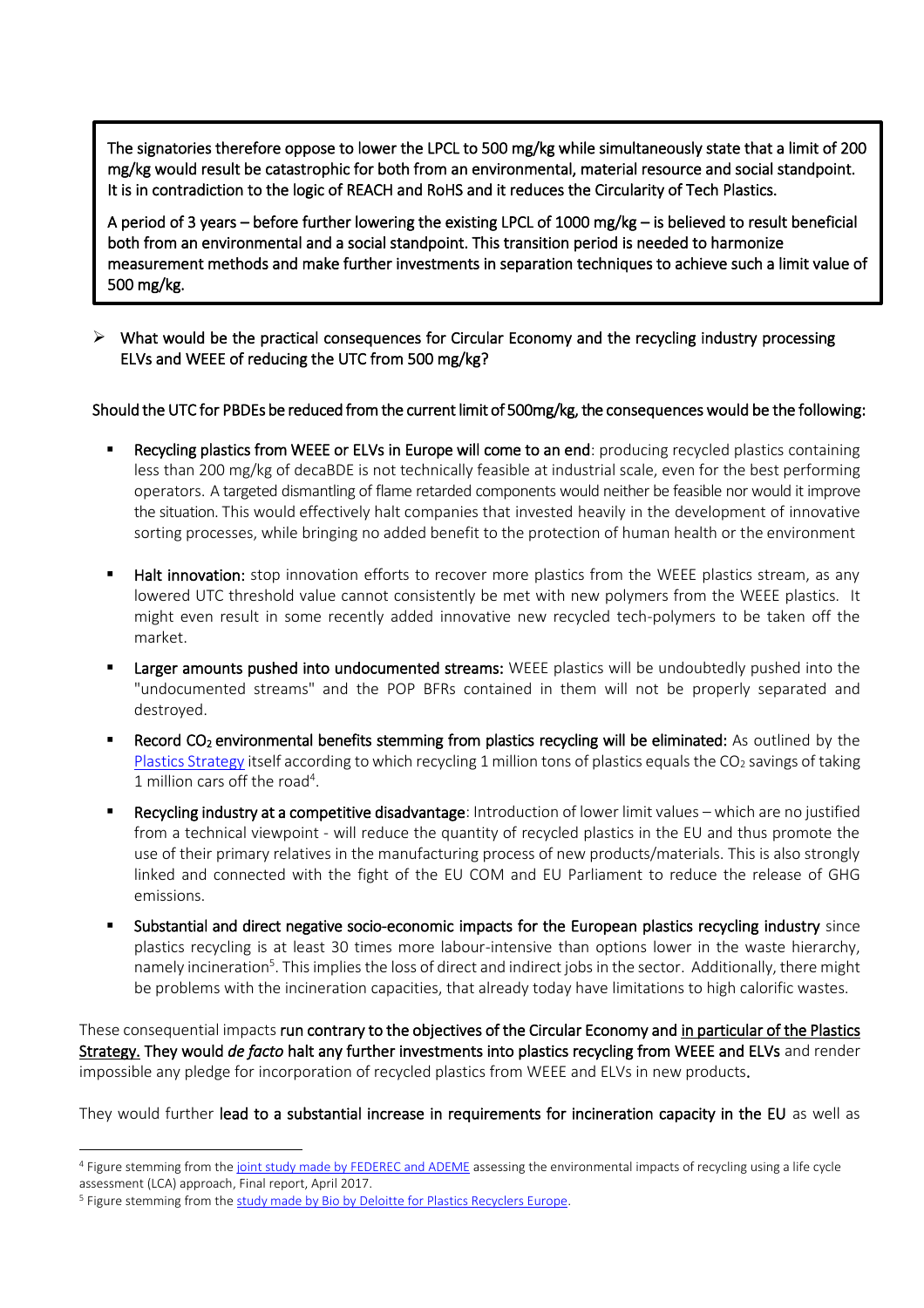The signatories therefore oppose to lower the LPCL to 500 mg/kg while simultaneously state that a limit of 200 mg/kg would result be catastrophic for both from an environmental, material resource and social standpoint. It is in contradiction to the logic of REACH and RoHS and it reduces the Circularity of Tech Plastics.

A period of 3 years – before further lowering the existing LPCL of 1000 mg/kg – is believed to result beneficial both from an environmental and a social standpoint. This transition period is needed to harmonize measurement methods and make further investments in separation techniques to achieve such a limit value of 500 mg/kg.

➢ What would be the practical consequences for Circular Economy and the recycling industry processing ELVs and WEEE of reducing the UTC from 500 mg/kg?

֡֬

#### Should the UTC for PBDEs be reduced from the current limit of 500mg/kg, the consequences would be the following:

- Recycling plastics from WEEE or ELVs in Europe will come to an end: producing recycled plastics containing less than 200 mg/kg of decaBDE is not technically feasible at industrial scale, even for the best performing operators. A targeted dismantling of flame retarded components would neither be feasible nor would it improve the situation. This would effectively halt companies that invested heavily in the development of innovative sorting processes, while bringing no added benefit to the protection of human health or the environment
- **E** Halt innovation: stop innovation efforts to recover more plastics from the WEEE plastics stream, as any lowered UTC threshold value cannot consistently be met with new polymers from the WEEE plastics. It might even result in some recently added innovative new recycled tech-polymers to be taken off the market.
- Larger amounts pushed into undocumented streams: WEEE plastics will be undoubtedly pushed into the "undocumented streams" and the POP BFRs contained in them will not be properly separated and destroyed.
- **EXECT** Record CO<sub>2</sub> environmental benefits stemming from plastics recycling will be eliminated: As outlined by the [Plastics Strategy](http://ec.europa.eu/environment/circular-economy/pdf/plastics-strategy.pdf) itself according to which recycling 1 million tons of plastics equals the  $CO<sub>2</sub>$  savings of taking 1 million cars off the road<sup>4</sup>.
- Recycling industry at a competitive disadvantage: Introduction of lower limit values which are no justified from a technical viewpoint - will reduce the quantity of recycled plastics in the EU and thus promote the use of their primary relatives in the manufacturing process of new products/materials. This is also strongly linked and connected with the fight of the EU COM and EU Parliament to reduce the release of GHG emissions.
- Substantial and direct negative socio-economic impacts for the European plastics recycling industry since plastics recycling is at least 30 times more labour-intensive than options lower in the waste hierarchy, namely incineration<sup>5</sup>. This implies the loss of direct and indirect jobs in the sector. Additionally, there might be problems with the incineration capacities, that already today have limitations to high calorific wastes.

These consequential impacts run contrary to the objectives of the Circular Economy and in particular of the Plastics Strategy. They would *de facto* halt any further investments into plastics recycling from WEEE and ELVs and render impossible any pledge for incorporation of recycled plastics from WEEE and ELVs in new products.

They would further lead to a substantial increase in requirements for incineration capacity in the EU as well as

<sup>4</sup> Figure stemming from th[e joint study made by FEDEREC and ADEME](https://presse.ademe.fr/wp-content/uploads/2017/05/FEDEREC_ACV-du-Recyclage-en-France-VF.pdf) assessing the environmental impacts of recycling using a life cycle assessment (LCA) approach, Final report, April 2017.

<sup>&</sup>lt;sup>5</sup> Figure stemming from the [study made by Bio by Deloitte for Plastics Recyclers Europe.](https://www.plasticsrecyclers.eu/sites/default/files/BIO_Deloitte_PRE_Plastics%20Recycling%20Impact_Assesment_Final%20Report.pdf)